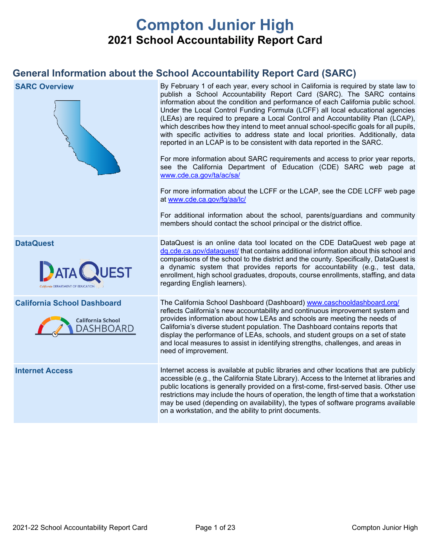# **Compton Junior High 2021 School Accountability Report Card**

# **General Information about the School Accountability Report Card (SARC)**

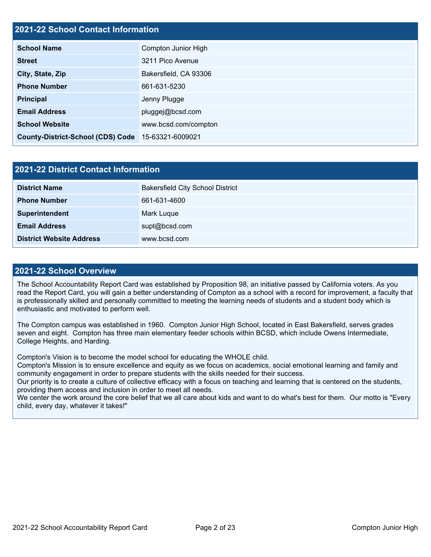# **2021-22 School Contact Information**

| <b>School Name</b>                       | Compton Junior High   |  |  |  |
|------------------------------------------|-----------------------|--|--|--|
| <b>Street</b>                            | 3211 Pico Avenue      |  |  |  |
| City, State, Zip                         | Bakersfield, CA 93306 |  |  |  |
| <b>Phone Number</b>                      | 661-631-5230          |  |  |  |
| <b>Principal</b>                         | Jenny Plugge          |  |  |  |
| <b>Email Address</b>                     | pluggej@bcsd.com      |  |  |  |
| <b>School Website</b>                    | www.bcsd.com/compton  |  |  |  |
| <b>County-District-School (CDS) Code</b> | 15-63321-6009021      |  |  |  |

| 2021-22 District Contact Information |                                         |  |  |  |  |
|--------------------------------------|-----------------------------------------|--|--|--|--|
| <b>District Name</b>                 | <b>Bakersfield City School District</b> |  |  |  |  |
| <b>Phone Number</b>                  | 661-631-4600                            |  |  |  |  |
| Superintendent                       | Mark Luque                              |  |  |  |  |
| <b>Email Address</b>                 | supt@bcsd.com                           |  |  |  |  |
| <b>District Website Address</b>      | www.bcsd.com                            |  |  |  |  |

### **2021-22 School Overview**

The School Accountability Report Card was established by Proposition 98, an initiative passed by California voters. As you read the Report Card, you will gain a better understanding of Compton as a school with a record for improvement, a faculty that is professionally skilled and personally committed to meeting the learning needs of students and a student body which is enthusiastic and motivated to perform well.

The Compton campus was established in 1960. Compton Junior High School, located in East Bakersfield, serves grades seven and eight. Compton has three main elementary feeder schools within BCSD, which include Owens Intermediate, College Heights, and Harding.

Compton's Vision is to become the model school for educating the WHOLE child.

Compton's Mission is to ensure excellence and equity as we focus on academics, social emotional learning and family and community engagement in order to prepare students with the skills needed for their success.

Our priority is to create a culture of collective efficacy with a focus on teaching and learning that is centered on the students, providing them access and inclusion in order to meet all needs.

We center the work around the core belief that we all care about kids and want to do what's best for them. Our motto is "Every child, every day, whatever it takes!"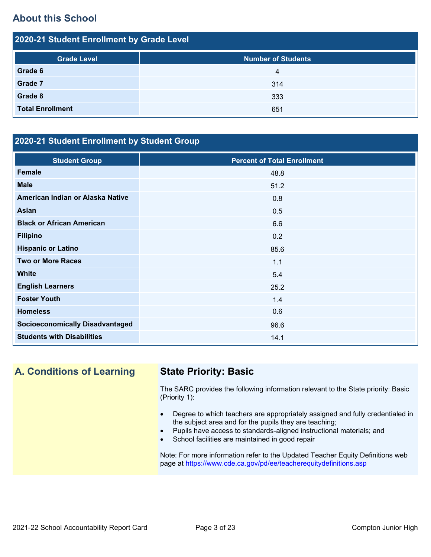# **About this School**

| 2020-21 Student Enrollment by Grade Level |                           |  |  |  |  |
|-------------------------------------------|---------------------------|--|--|--|--|
| <b>Grade Level</b>                        | <b>Number of Students</b> |  |  |  |  |
| Grade 6                                   | 4                         |  |  |  |  |
| Grade 7                                   | 314                       |  |  |  |  |
| Grade 8                                   | 333                       |  |  |  |  |
| <b>Total Enrollment</b>                   | 651                       |  |  |  |  |

# **2020-21 Student Enrollment by Student Group**

| <b>Student Group</b>                   | <b>Percent of Total Enrollment</b> |
|----------------------------------------|------------------------------------|
| <b>Female</b>                          | 48.8                               |
| <b>Male</b>                            | 51.2                               |
| American Indian or Alaska Native       | 0.8                                |
| Asian                                  | 0.5                                |
| <b>Black or African American</b>       | 6.6                                |
| <b>Filipino</b>                        | 0.2                                |
| <b>Hispanic or Latino</b>              | 85.6                               |
| <b>Two or More Races</b>               | 1.1                                |
| <b>White</b>                           | 5.4                                |
| <b>English Learners</b>                | 25.2                               |
| <b>Foster Youth</b>                    | 1.4                                |
| <b>Homeless</b>                        | 0.6                                |
| <b>Socioeconomically Disadvantaged</b> | 96.6                               |
| <b>Students with Disabilities</b>      | 14.1                               |

# **A. Conditions of Learning State Priority: Basic**

The SARC provides the following information relevant to the State priority: Basic (Priority 1):

- Degree to which teachers are appropriately assigned and fully credentialed in the subject area and for the pupils they are teaching;
- Pupils have access to standards-aligned instructional materials; and
- School facilities are maintained in good repair

Note: For more information refer to the Updated Teacher Equity Definitions web page at<https://www.cde.ca.gov/pd/ee/teacherequitydefinitions.asp>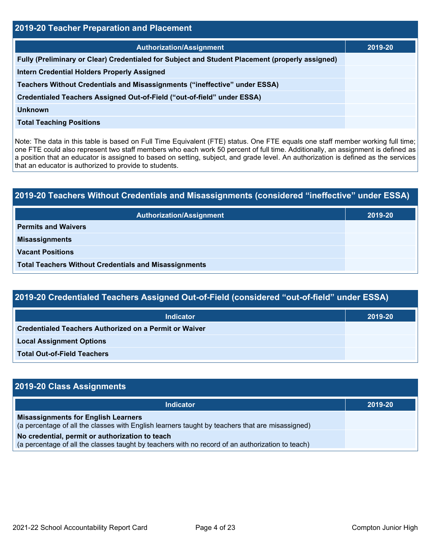| <b>2019-20 Teacher Preparation and Placement</b>                                                |         |  |  |  |
|-------------------------------------------------------------------------------------------------|---------|--|--|--|
| <b>Authorization/Assignment</b>                                                                 | 2019-20 |  |  |  |
| Fully (Preliminary or Clear) Credentialed for Subject and Student Placement (properly assigned) |         |  |  |  |
| <b>Intern Credential Holders Properly Assigned</b>                                              |         |  |  |  |
| Teachers Without Credentials and Misassignments ("ineffective" under ESSA)                      |         |  |  |  |
| Credentialed Teachers Assigned Out-of-Field ("out-of-field" under ESSA)                         |         |  |  |  |
| Unknown                                                                                         |         |  |  |  |
| <b>Total Teaching Positions</b>                                                                 |         |  |  |  |

Note: The data in this table is based on Full Time Equivalent (FTE) status. One FTE equals one staff member working full time; one FTE could also represent two staff members who each work 50 percent of full time. Additionally, an assignment is defined as a position that an educator is assigned to based on setting, subject, and grade level. An authorization is defined as the services that an educator is authorized to provide to students.

# **2019-20 Teachers Without Credentials and Misassignments (considered "ineffective" under ESSA) Authorization/Assignment 2019-20 Permits and Waivers Misassignments Vacant Positions Total Teachers Without Credentials and Misassignments**

| 2019-20 Credentialed Teachers Assigned Out-of-Field (considered "out-of-field" under ESSA) |         |  |  |  |
|--------------------------------------------------------------------------------------------|---------|--|--|--|
| Indicator                                                                                  | 2019-20 |  |  |  |
| Credentialed Teachers Authorized on a Permit or Waiver                                     |         |  |  |  |

**Local Assignment Options**

**Total Out-of-Field Teachers**

| 2019-20 Class Assignments                                                                                                                           |         |
|-----------------------------------------------------------------------------------------------------------------------------------------------------|---------|
| Indicator                                                                                                                                           | 2019-20 |
| <b>Misassignments for English Learners</b><br>(a percentage of all the classes with English learners taught by teachers that are misassigned)       |         |
| No credential, permit or authorization to teach<br>(a percentage of all the classes taught by teachers with no record of an authorization to teach) |         |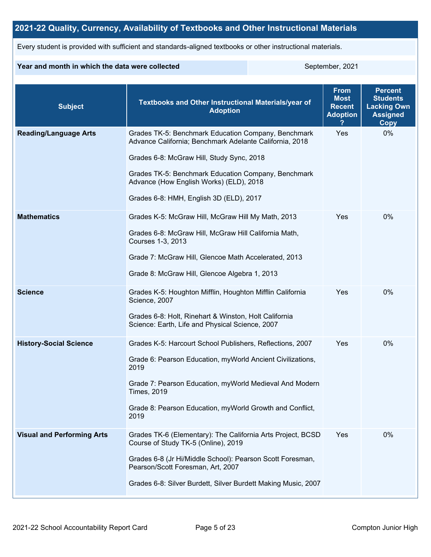# **2021-22 Quality, Currency, Availability of Textbooks and Other Instructional Materials**

Every student is provided with sufficient and standards-aligned textbooks or other instructional materials.

### **Year and month in which the data were collected** September, 2021

| <b>Subject</b>                    | <b>Textbooks and Other Instructional Materials/year of</b><br><b>Adoption</b>                                                                                                                                                                                                                            | <b>From</b><br><b>Most</b><br><b>Recent</b><br><b>Adoption</b> | <b>Percent</b><br><b>Students</b><br><b>Lacking Own</b><br><b>Assigned</b><br>Copy |
|-----------------------------------|----------------------------------------------------------------------------------------------------------------------------------------------------------------------------------------------------------------------------------------------------------------------------------------------------------|----------------------------------------------------------------|------------------------------------------------------------------------------------|
| <b>Reading/Language Arts</b>      | Grades TK-5: Benchmark Education Company, Benchmark<br>Advance California; Benchmark Adelante California, 2018<br>Grades 6-8: McGraw Hill, Study Sync, 2018<br>Grades TK-5: Benchmark Education Company, Benchmark<br>Advance (How English Works) (ELD), 2018<br>Grades 6-8: HMH, English 3D (ELD), 2017 | Yes                                                            | 0%                                                                                 |
| <b>Mathematics</b>                | Grades K-5: McGraw Hill, McGraw Hill My Math, 2013<br>Grades 6-8: McGraw Hill, McGraw Hill California Math,<br>Courses 1-3, 2013<br>Grade 7: McGraw Hill, Glencoe Math Accelerated, 2013<br>Grade 8: McGraw Hill, Glencoe Algebra 1, 2013                                                                | Yes                                                            | 0%                                                                                 |
| <b>Science</b>                    | Grades K-5: Houghton Mifflin, Houghton Mifflin California<br>Science, 2007<br>Grades 6-8: Holt, Rinehart & Winston, Holt California<br>Science: Earth, Life and Physical Science, 2007                                                                                                                   | Yes                                                            | 0%                                                                                 |
| <b>History-Social Science</b>     | Grades K-5: Harcourt School Publishers, Reflections, 2007<br>Grade 6: Pearson Education, myWorld Ancient Civilizations,<br>2019<br>Grade 7: Pearson Education, myWorld Medieval And Modern<br><b>Times, 2019</b><br>Grade 8: Pearson Education, myWorld Growth and Conflict,<br>2019                     | Yes                                                            | 0%                                                                                 |
| <b>Visual and Performing Arts</b> | Grades TK-6 (Elementary): The California Arts Project, BCSD<br>Course of Study TK-5 (Online), 2019<br>Grades 6-8 (Jr Hi/Middle School): Pearson Scott Foresman,<br>Pearson/Scott Foresman, Art, 2007<br>Grades 6-8: Silver Burdett, Silver Burdett Making Music, 2007                                    | Yes                                                            | 0%                                                                                 |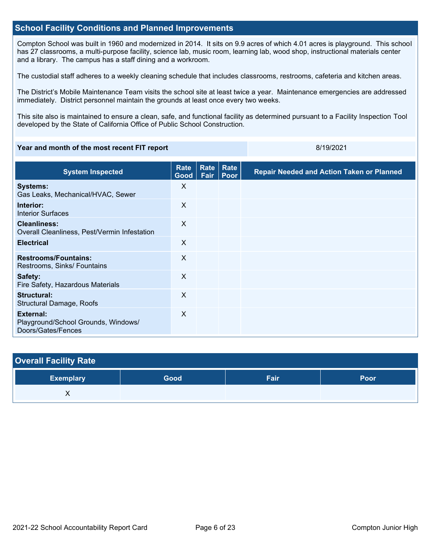## **School Facility Conditions and Planned Improvements**

Compton School was built in 1960 and modernized in 2014. It sits on 9.9 acres of which 4.01 acres is playground. This school has 27 classrooms, a multi-purpose facility, science lab, music room, learning lab, wood shop, instructional materials center and a library. The campus has a staff dining and a workroom.

The custodial staff adheres to a weekly cleaning schedule that includes classrooms, restrooms, cafeteria and kitchen areas.

The District's Mobile Maintenance Team visits the school site at least twice a year. Maintenance emergencies are addressed immediately. District personnel maintain the grounds at least once every two weeks.

This site also is maintained to ensure a clean, safe, and functional facility as determined pursuant to a Facility Inspection Tool developed by the State of California Office of Public School Construction.

### **Year and month of the most recent FIT report** 8/19/2021

| <b>System Inspected</b>                                                       | Rate<br>Good $ $ | Rate<br>Fair | Rate<br>Poor | <b>Repair Needed and Action Taken or Planned</b> |
|-------------------------------------------------------------------------------|------------------|--------------|--------------|--------------------------------------------------|
| <b>Systems:</b><br>Gas Leaks, Mechanical/HVAC, Sewer                          | X                |              |              |                                                  |
| Interior:<br><b>Interior Surfaces</b>                                         | X                |              |              |                                                  |
| <b>Cleanliness:</b><br>Overall Cleanliness, Pest/Vermin Infestation           | X                |              |              |                                                  |
| <b>Electrical</b>                                                             | X                |              |              |                                                  |
| <b>Restrooms/Fountains:</b><br>Restrooms, Sinks/ Fountains                    | X                |              |              |                                                  |
| Safety:<br>Fire Safety, Hazardous Materials                                   | $\sf X$          |              |              |                                                  |
| Structural:<br><b>Structural Damage, Roofs</b>                                | X                |              |              |                                                  |
| <b>External:</b><br>Playground/School Grounds, Windows/<br>Doors/Gates/Fences | $\mathsf{X}$     |              |              |                                                  |

| <b>Overall Facility Rate</b> |      |      |             |
|------------------------------|------|------|-------------|
| <b>Exemplary</b>             | Good | Fair | <b>Poor</b> |
|                              |      |      |             |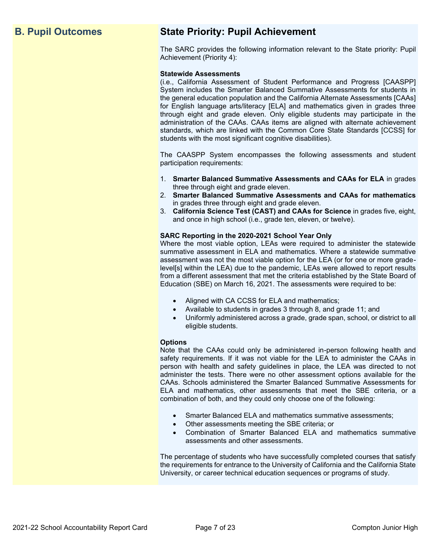# **B. Pupil Outcomes State Priority: Pupil Achievement**

The SARC provides the following information relevant to the State priority: Pupil Achievement (Priority 4):

### **Statewide Assessments**

(i.e., California Assessment of Student Performance and Progress [CAASPP] System includes the Smarter Balanced Summative Assessments for students in the general education population and the California Alternate Assessments [CAAs] for English language arts/literacy [ELA] and mathematics given in grades three through eight and grade eleven. Only eligible students may participate in the administration of the CAAs. CAAs items are aligned with alternate achievement standards, which are linked with the Common Core State Standards [CCSS] for students with the most significant cognitive disabilities).

The CAASPP System encompasses the following assessments and student participation requirements:

- 1. **Smarter Balanced Summative Assessments and CAAs for ELA** in grades three through eight and grade eleven.
- 2. **Smarter Balanced Summative Assessments and CAAs for mathematics** in grades three through eight and grade eleven.
- 3. **California Science Test (CAST) and CAAs for Science** in grades five, eight, and once in high school (i.e., grade ten, eleven, or twelve).

### **SARC Reporting in the 2020-2021 School Year Only**

Where the most viable option, LEAs were required to administer the statewide summative assessment in ELA and mathematics. Where a statewide summative assessment was not the most viable option for the LEA (or for one or more gradelevel[s] within the LEA) due to the pandemic, LEAs were allowed to report results from a different assessment that met the criteria established by the State Board of Education (SBE) on March 16, 2021. The assessments were required to be:

- Aligned with CA CCSS for ELA and mathematics;
- Available to students in grades 3 through 8, and grade 11; and
- Uniformly administered across a grade, grade span, school, or district to all eligible students.

### **Options**

Note that the CAAs could only be administered in-person following health and safety requirements. If it was not viable for the LEA to administer the CAAs in person with health and safety guidelines in place, the LEA was directed to not administer the tests. There were no other assessment options available for the CAAs. Schools administered the Smarter Balanced Summative Assessments for ELA and mathematics, other assessments that meet the SBE criteria, or a combination of both, and they could only choose one of the following:

- Smarter Balanced ELA and mathematics summative assessments;
- Other assessments meeting the SBE criteria; or
- Combination of Smarter Balanced ELA and mathematics summative assessments and other assessments.

The percentage of students who have successfully completed courses that satisfy the requirements for entrance to the University of California and the California State University, or career technical education sequences or programs of study.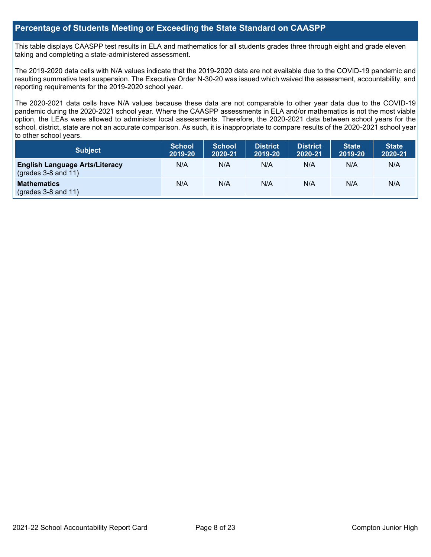## **Percentage of Students Meeting or Exceeding the State Standard on CAASPP**

This table displays CAASPP test results in ELA and mathematics for all students grades three through eight and grade eleven taking and completing a state-administered assessment.

The 2019-2020 data cells with N/A values indicate that the 2019-2020 data are not available due to the COVID-19 pandemic and resulting summative test suspension. The Executive Order N-30-20 was issued which waived the assessment, accountability, and reporting requirements for the 2019-2020 school year.

The 2020-2021 data cells have N/A values because these data are not comparable to other year data due to the COVID-19 pandemic during the 2020-2021 school year. Where the CAASPP assessments in ELA and/or mathematics is not the most viable option, the LEAs were allowed to administer local assessments. Therefore, the 2020-2021 data between school years for the school, district, state are not an accurate comparison. As such, it is inappropriate to compare results of the 2020-2021 school year to other school years.

| Subject                                                              | <b>School</b><br>2019-20 | <b>School</b><br>2020-21 | <b>District</b><br>2019-20 | <b>District</b><br>2020-21 | <b>State</b><br>2019-20 | <b>State</b><br>2020-21 |
|----------------------------------------------------------------------|--------------------------|--------------------------|----------------------------|----------------------------|-------------------------|-------------------------|
| <b>English Language Arts/Literacy</b><br>$\left($ grades 3-8 and 11) | N/A                      | N/A                      | N/A                        | N/A                        | N/A                     | N/A                     |
| <b>Mathematics</b><br>$(grades 3-8 and 11)$                          | N/A                      | N/A                      | N/A                        | N/A                        | N/A                     | N/A                     |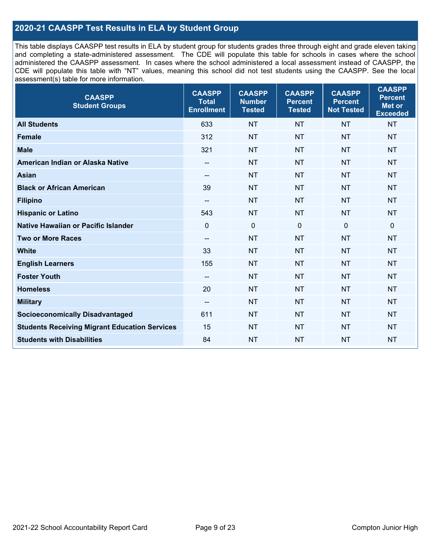# **2020-21 CAASPP Test Results in ELA by Student Group**

This table displays CAASPP test results in ELA by student group for students grades three through eight and grade eleven taking and completing a state-administered assessment. The CDE will populate this table for schools in cases where the school administered the CAASPP assessment. In cases where the school administered a local assessment instead of CAASPP, the CDE will populate this table with "NT" values, meaning this school did not test students using the CAASPP. See the local assessment(s) table for more information.

| <b>CAASPP</b><br><b>Student Groups</b>               | <b>CAASPP</b><br><b>Total</b><br><b>Enrollment</b> | <b>CAASPP</b><br><b>Number</b><br><b>Tested</b> | <b>CAASPP</b><br><b>Percent</b><br><b>Tested</b> | <b>CAASPP</b><br><b>Percent</b><br><b>Not Tested</b> | <b>CAASPP</b><br><b>Percent</b><br>Met or<br><b>Exceeded</b> |
|------------------------------------------------------|----------------------------------------------------|-------------------------------------------------|--------------------------------------------------|------------------------------------------------------|--------------------------------------------------------------|
| <b>All Students</b>                                  | 633                                                | <b>NT</b>                                       | <b>NT</b>                                        | <b>NT</b>                                            | <b>NT</b>                                                    |
| <b>Female</b>                                        | 312                                                | <b>NT</b>                                       | <b>NT</b>                                        | <b>NT</b>                                            | <b>NT</b>                                                    |
| <b>Male</b>                                          | 321                                                | <b>NT</b>                                       | <b>NT</b>                                        | <b>NT</b>                                            | <b>NT</b>                                                    |
| American Indian or Alaska Native                     | --                                                 | <b>NT</b>                                       | <b>NT</b>                                        | <b>NT</b>                                            | <b>NT</b>                                                    |
| <b>Asian</b>                                         |                                                    | <b>NT</b>                                       | <b>NT</b>                                        | <b>NT</b>                                            | <b>NT</b>                                                    |
| <b>Black or African American</b>                     | 39                                                 | <b>NT</b>                                       | <b>NT</b>                                        | <b>NT</b>                                            | <b>NT</b>                                                    |
| <b>Filipino</b>                                      | $\overline{\phantom{a}}$                           | <b>NT</b>                                       | <b>NT</b>                                        | <b>NT</b>                                            | <b>NT</b>                                                    |
| <b>Hispanic or Latino</b>                            | 543                                                | <b>NT</b>                                       | <b>NT</b>                                        | <b>NT</b>                                            | <b>NT</b>                                                    |
| <b>Native Hawaiian or Pacific Islander</b>           | $\mathbf 0$                                        | $\mathbf 0$                                     | $\mathbf 0$                                      | $\mathbf 0$                                          | 0                                                            |
| <b>Two or More Races</b>                             | --                                                 | <b>NT</b>                                       | <b>NT</b>                                        | <b>NT</b>                                            | <b>NT</b>                                                    |
| <b>White</b>                                         | 33                                                 | <b>NT</b>                                       | <b>NT</b>                                        | <b>NT</b>                                            | <b>NT</b>                                                    |
| <b>English Learners</b>                              | 155                                                | <b>NT</b>                                       | <b>NT</b>                                        | <b>NT</b>                                            | <b>NT</b>                                                    |
| <b>Foster Youth</b>                                  | $\overline{\phantom{a}}$                           | <b>NT</b>                                       | <b>NT</b>                                        | <b>NT</b>                                            | <b>NT</b>                                                    |
| <b>Homeless</b>                                      | 20                                                 | <b>NT</b>                                       | <b>NT</b>                                        | <b>NT</b>                                            | <b>NT</b>                                                    |
| <b>Military</b>                                      | $\overline{\phantom{a}}$                           | <b>NT</b>                                       | <b>NT</b>                                        | <b>NT</b>                                            | <b>NT</b>                                                    |
| <b>Socioeconomically Disadvantaged</b>               | 611                                                | <b>NT</b>                                       | <b>NT</b>                                        | <b>NT</b>                                            | <b>NT</b>                                                    |
| <b>Students Receiving Migrant Education Services</b> | 15                                                 | <b>NT</b>                                       | <b>NT</b>                                        | <b>NT</b>                                            | <b>NT</b>                                                    |
| <b>Students with Disabilities</b>                    | 84                                                 | <b>NT</b>                                       | <b>NT</b>                                        | <b>NT</b>                                            | <b>NT</b>                                                    |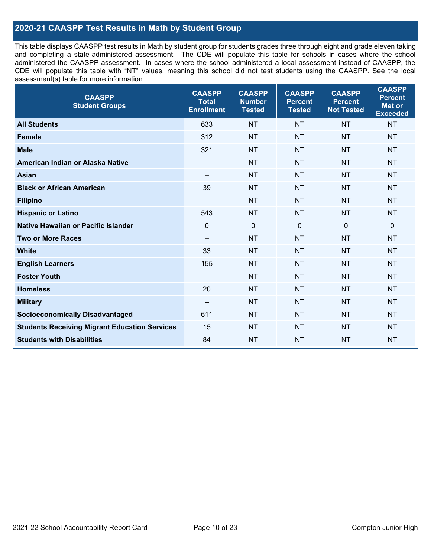# **2020-21 CAASPP Test Results in Math by Student Group**

This table displays CAASPP test results in Math by student group for students grades three through eight and grade eleven taking and completing a state-administered assessment. The CDE will populate this table for schools in cases where the school administered the CAASPP assessment. In cases where the school administered a local assessment instead of CAASPP, the CDE will populate this table with "NT" values, meaning this school did not test students using the CAASPP. See the local assessment(s) table for more information.

| <b>CAASPP</b><br><b>Student Groups</b>               | <b>CAASPP</b><br><b>Total</b><br><b>Enrollment</b> | <b>CAASPP</b><br><b>Number</b><br><b>Tested</b> | <b>CAASPP</b><br><b>Percent</b><br><b>Tested</b> | <b>CAASPP</b><br><b>Percent</b><br><b>Not Tested</b> | <b>CAASPP</b><br><b>Percent</b><br>Met or<br><b>Exceeded</b> |
|------------------------------------------------------|----------------------------------------------------|-------------------------------------------------|--------------------------------------------------|------------------------------------------------------|--------------------------------------------------------------|
| <b>All Students</b>                                  | 633                                                | <b>NT</b>                                       | <b>NT</b>                                        | <b>NT</b>                                            | <b>NT</b>                                                    |
| <b>Female</b>                                        | 312                                                | <b>NT</b>                                       | <b>NT</b>                                        | <b>NT</b>                                            | <b>NT</b>                                                    |
| <b>Male</b>                                          | 321                                                | <b>NT</b>                                       | <b>NT</b>                                        | <b>NT</b>                                            | <b>NT</b>                                                    |
| American Indian or Alaska Native                     | $\overline{\phantom{a}}$                           | <b>NT</b>                                       | <b>NT</b>                                        | <b>NT</b>                                            | <b>NT</b>                                                    |
| <b>Asian</b>                                         | --                                                 | <b>NT</b>                                       | <b>NT</b>                                        | <b>NT</b>                                            | <b>NT</b>                                                    |
| <b>Black or African American</b>                     | 39                                                 | <b>NT</b>                                       | <b>NT</b>                                        | <b>NT</b>                                            | <b>NT</b>                                                    |
| <b>Filipino</b>                                      | $\overline{\phantom{a}}$                           | <b>NT</b>                                       | <b>NT</b>                                        | <b>NT</b>                                            | <b>NT</b>                                                    |
| <b>Hispanic or Latino</b>                            | 543                                                | <b>NT</b>                                       | <b>NT</b>                                        | <b>NT</b>                                            | <b>NT</b>                                                    |
| Native Hawaiian or Pacific Islander                  | $\mathbf 0$                                        | $\mathbf 0$                                     | $\mathbf 0$                                      | $\mathbf 0$                                          | $\mathbf 0$                                                  |
| <b>Two or More Races</b>                             | $\overline{a}$                                     | <b>NT</b>                                       | <b>NT</b>                                        | <b>NT</b>                                            | <b>NT</b>                                                    |
| <b>White</b>                                         | 33                                                 | <b>NT</b>                                       | <b>NT</b>                                        | <b>NT</b>                                            | <b>NT</b>                                                    |
| <b>English Learners</b>                              | 155                                                | <b>NT</b>                                       | <b>NT</b>                                        | <b>NT</b>                                            | <b>NT</b>                                                    |
| <b>Foster Youth</b>                                  | $\overline{\phantom{a}}$                           | <b>NT</b>                                       | <b>NT</b>                                        | <b>NT</b>                                            | <b>NT</b>                                                    |
| <b>Homeless</b>                                      | 20                                                 | <b>NT</b>                                       | <b>NT</b>                                        | <b>NT</b>                                            | <b>NT</b>                                                    |
| <b>Military</b>                                      | $\overline{\phantom{a}}$                           | <b>NT</b>                                       | <b>NT</b>                                        | <b>NT</b>                                            | <b>NT</b>                                                    |
| <b>Socioeconomically Disadvantaged</b>               | 611                                                | <b>NT</b>                                       | <b>NT</b>                                        | <b>NT</b>                                            | <b>NT</b>                                                    |
| <b>Students Receiving Migrant Education Services</b> | 15                                                 | <b>NT</b>                                       | <b>NT</b>                                        | <b>NT</b>                                            | NT                                                           |
| <b>Students with Disabilities</b>                    | 84                                                 | <b>NT</b>                                       | <b>NT</b>                                        | <b>NT</b>                                            | <b>NT</b>                                                    |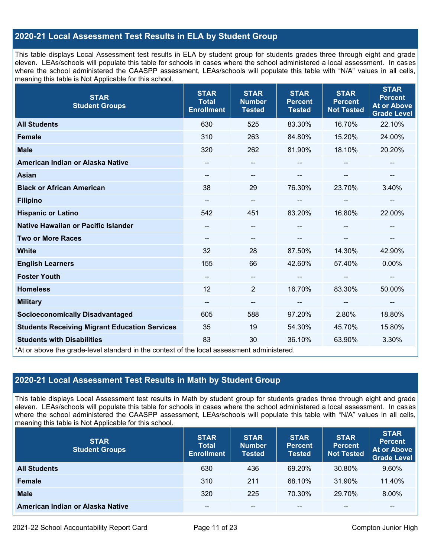# **2020-21 Local Assessment Test Results in ELA by Student Group**

This table displays Local Assessment test results in ELA by student group for students grades three through eight and grade eleven. LEAs/schools will populate this table for schools in cases where the school administered a local assessment. In cases where the school administered the CAASPP assessment, LEAs/schools will populate this table with "N/A" values in all cells, meaning this table is Not Applicable for this school.

| <b>STAR</b><br><b>Student Groups</b>                                                                                            | <b>STAR</b><br><b>Total</b><br><b>Enrollment</b> | <b>STAR</b><br><b>Number</b><br><b>Tested</b> | <b>STAR</b><br><b>Percent</b><br><b>Tested</b> | <b>STAR</b><br><b>Percent</b><br><b>Not Tested</b> | <b>STAR</b><br><b>Percent</b><br><b>At or Above</b><br><b>Grade Level</b> |
|---------------------------------------------------------------------------------------------------------------------------------|--------------------------------------------------|-----------------------------------------------|------------------------------------------------|----------------------------------------------------|---------------------------------------------------------------------------|
| <b>All Students</b>                                                                                                             | 630                                              | 525                                           | 83.30%                                         | 16.70%                                             | 22.10%                                                                    |
| <b>Female</b>                                                                                                                   | 310                                              | 263                                           | 84.80%                                         | 15.20%                                             | 24.00%                                                                    |
| <b>Male</b>                                                                                                                     | 320                                              | 262                                           | 81.90%                                         | 18.10%                                             | 20.20%                                                                    |
| American Indian or Alaska Native                                                                                                | --                                               | $\overline{\phantom{m}}$                      | --                                             |                                                    | --                                                                        |
| <b>Asian</b>                                                                                                                    | $\overline{\phantom{a}}$                         | $\overline{\phantom{m}}$                      | $-$                                            | --                                                 | $\qquad \qquad -$                                                         |
| <b>Black or African American</b>                                                                                                | 38                                               | 29                                            | 76.30%                                         | 23.70%                                             | 3.40%                                                                     |
| <b>Filipino</b>                                                                                                                 | $\overline{\phantom{a}}$                         | $\overline{\phantom{m}}$                      | --                                             | --                                                 | --                                                                        |
| <b>Hispanic or Latino</b>                                                                                                       | 542                                              | 451                                           | 83.20%                                         | 16.80%                                             | 22.00%                                                                    |
| Native Hawaiian or Pacific Islander                                                                                             |                                                  | $\overline{\phantom{m}}$                      | --                                             |                                                    |                                                                           |
| <b>Two or More Races</b>                                                                                                        | --                                               | --                                            |                                                |                                                    | --                                                                        |
| <b>White</b>                                                                                                                    | 32                                               | 28                                            | 87.50%                                         | 14.30%                                             | 42.90%                                                                    |
| <b>English Learners</b>                                                                                                         | 155                                              | 66                                            | 42.60%                                         | 57.40%                                             | 0.00%                                                                     |
| <b>Foster Youth</b>                                                                                                             | --                                               | $\qquad \qquad -$                             |                                                | $\sim$                                             | --                                                                        |
| <b>Homeless</b>                                                                                                                 | 12                                               | 2                                             | 16.70%                                         | 83.30%                                             | 50.00%                                                                    |
| <b>Military</b>                                                                                                                 | $\overline{\phantom{a}}$                         | $\overline{\phantom{a}}$                      | --                                             | $\overline{\phantom{a}}$                           | --                                                                        |
| <b>Socioeconomically Disadvantaged</b>                                                                                          | 605                                              | 588                                           | 97.20%                                         | 2.80%                                              | 18.80%                                                                    |
| <b>Students Receiving Migrant Education Services</b>                                                                            | 35                                               | 19                                            | 54.30%                                         | 45.70%                                             | 15.80%                                                                    |
| <b>Students with Disabilities</b><br>*At or above the grade-level standard in the context of the local assessment administered. | 83                                               | 30                                            | 36.10%                                         | 63.90%                                             | 3.30%                                                                     |

# **2020-21 Local Assessment Test Results in Math by Student Group**

This table displays Local Assessment test results in Math by student group for students grades three through eight and grade eleven. LEAs/schools will populate this table for schools in cases where the school administered a local assessment. In cases where the school administered the CAASPP assessment, LEAs/schools will populate this table with "N/A" values in all cells, meaning this table is Not Applicable for this school.

| <b>STAR</b><br><b>Student Groups</b> | <b>STAR</b><br><b>Total</b><br><b>Enrollment</b> | <b>STAR</b><br><b>Number</b><br><b>Tested</b> | <b>STAR</b><br><b>Percent</b><br><b>Tested</b> | <b>STAR</b><br><b>Percent</b><br><b>Not Tested</b> | <b>STAR</b><br><b>Percent</b><br><b>At or Above</b><br><b>Grade Level</b> |
|--------------------------------------|--------------------------------------------------|-----------------------------------------------|------------------------------------------------|----------------------------------------------------|---------------------------------------------------------------------------|
| <b>All Students</b>                  | 630                                              | 436                                           | 69.20%                                         | 30.80%                                             | 9.60%                                                                     |
| <b>Female</b>                        | 310                                              | 211                                           | 68.10%                                         | 31.90%                                             | 11.40%                                                                    |
| <b>Male</b>                          | 320                                              | 225                                           | 70.30%                                         | 29.70%                                             | 8.00%                                                                     |
| American Indian or Alaska Native     | --                                               | $- -$                                         | $- -$                                          | $- -$                                              | $\overline{\phantom{m}}$                                                  |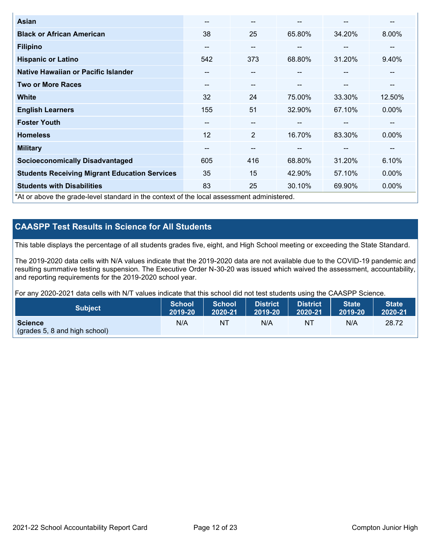| Asian                                                                                      | --    | $- -$                    |        | --                       | --       |
|--------------------------------------------------------------------------------------------|-------|--------------------------|--------|--------------------------|----------|
| <b>Black or African American</b>                                                           | 38    | 25                       | 65.80% | 34.20%                   | 8.00%    |
| <b>Filipino</b>                                                                            | $- -$ | $- -$                    | --     | --                       | --       |
| <b>Hispanic or Latino</b>                                                                  | 542   | 373                      | 68.80% | 31.20%                   | 9.40%    |
| Native Hawaiian or Pacific Islander                                                        | --    | $\overline{\phantom{m}}$ | --     | $\overline{\phantom{m}}$ | --       |
| <b>Two or More Races</b>                                                                   | --    | $\overline{\phantom{m}}$ | --     | --                       | --       |
| <b>White</b>                                                                               | 32    | 24                       | 75.00% | 33.30%                   | 12.50%   |
| <b>English Learners</b>                                                                    | 155   | 51                       | 32.90% | 67.10%                   | $0.00\%$ |
| <b>Foster Youth</b>                                                                        | --    | $- -$                    |        | --                       | --       |
| <b>Homeless</b>                                                                            | 12    | 2                        | 16.70% | 83.30%                   | $0.00\%$ |
| <b>Military</b>                                                                            | --    | $\sim$                   | --     | --                       | --       |
| <b>Socioeconomically Disadvantaged</b>                                                     | 605   | 416                      | 68.80% | 31.20%                   | 6.10%    |
| <b>Students Receiving Migrant Education Services</b>                                       | 35    | 15                       | 42.90% | 57.10%                   | $0.00\%$ |
| <b>Students with Disabilities</b>                                                          | 83    | 25                       | 30.10% | 69.90%                   | 0.00%    |
| *At or above the grade-level standard in the context of the local assessment administered. |       |                          |        |                          |          |

# **CAASPP Test Results in Science for All Students**

This table displays the percentage of all students grades five, eight, and High School meeting or exceeding the State Standard.

The 2019-2020 data cells with N/A values indicate that the 2019-2020 data are not available due to the COVID-19 pandemic and resulting summative testing suspension. The Executive Order N-30-20 was issued which waived the assessment, accountability, and reporting requirements for the 2019-2020 school year.

For any 2020-2021 data cells with N/T values indicate that this school did not test students using the CAASPP Science.

| <b>Subject</b>                                           | <b>School</b> | <b>School</b> | <b>District</b> | District | <b>State</b> | <b>State</b> |
|----------------------------------------------------------|---------------|---------------|-----------------|----------|--------------|--------------|
|                                                          | 2019-20       | 2020-21       | 2019-20         | 2020-21  | 2019-20      | 2020-21      |
| <b>Science</b><br>$\left($ (grades 5, 8 and high school) | N/A           | NT            | N/A             | NT       | N/A          | 28.72        |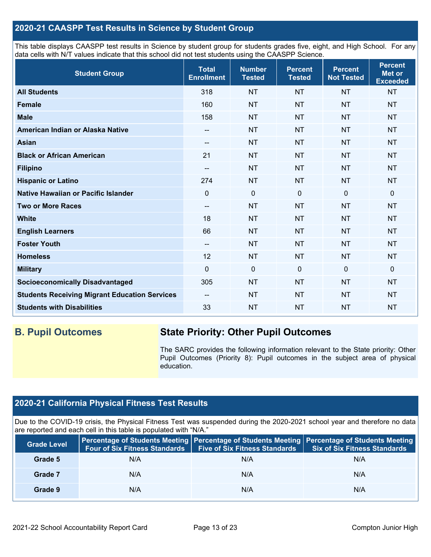# **2020-21 CAASPP Test Results in Science by Student Group**

This table displays CAASPP test results in Science by student group for students grades five, eight, and High School. For any data cells with N/T values indicate that this school did not test students using the CAASPP Science.

| <b>Student Group</b>                                 | <b>Total</b><br><b>Enrollment</b> | <b>Number</b><br><b>Tested</b> | <b>Percent</b><br><b>Tested</b> | <b>Percent</b><br><b>Not Tested</b> | <b>Percent</b><br>Met or<br><b>Exceeded</b> |
|------------------------------------------------------|-----------------------------------|--------------------------------|---------------------------------|-------------------------------------|---------------------------------------------|
| <b>All Students</b>                                  | 318                               | <b>NT</b>                      | <b>NT</b>                       | <b>NT</b>                           | <b>NT</b>                                   |
| <b>Female</b>                                        | 160                               | <b>NT</b>                      | <b>NT</b>                       | <b>NT</b>                           | <b>NT</b>                                   |
| <b>Male</b>                                          | 158                               | <b>NT</b>                      | <b>NT</b>                       | <b>NT</b>                           | <b>NT</b>                                   |
| American Indian or Alaska Native                     | --                                | <b>NT</b>                      | <b>NT</b>                       | <b>NT</b>                           | <b>NT</b>                                   |
| <b>Asian</b>                                         | --                                | <b>NT</b>                      | <b>NT</b>                       | <b>NT</b>                           | <b>NT</b>                                   |
| <b>Black or African American</b>                     | 21                                | <b>NT</b>                      | <b>NT</b>                       | <b>NT</b>                           | <b>NT</b>                                   |
| <b>Filipino</b>                                      | $\overline{\phantom{a}}$          | <b>NT</b>                      | <b>NT</b>                       | <b>NT</b>                           | <b>NT</b>                                   |
| <b>Hispanic or Latino</b>                            | 274                               | <b>NT</b>                      | <b>NT</b>                       | <b>NT</b>                           | <b>NT</b>                                   |
| Native Hawaiian or Pacific Islander                  | 0                                 | $\mathbf 0$                    | $\mathbf 0$                     | $\mathbf{0}$                        | 0                                           |
| <b>Two or More Races</b>                             | --                                | <b>NT</b>                      | <b>NT</b>                       | <b>NT</b>                           | <b>NT</b>                                   |
| <b>White</b>                                         | 18                                | <b>NT</b>                      | <b>NT</b>                       | <b>NT</b>                           | <b>NT</b>                                   |
| <b>English Learners</b>                              | 66                                | <b>NT</b>                      | <b>NT</b>                       | <b>NT</b>                           | <b>NT</b>                                   |
| <b>Foster Youth</b>                                  | --                                | <b>NT</b>                      | <b>NT</b>                       | <b>NT</b>                           | <b>NT</b>                                   |
| <b>Homeless</b>                                      | 12                                | <b>NT</b>                      | <b>NT</b>                       | <b>NT</b>                           | <b>NT</b>                                   |
| <b>Military</b>                                      | $\mathbf 0$                       | $\mathbf 0$                    | $\mathbf{0}$                    | $\mathbf 0$                         | 0                                           |
| <b>Socioeconomically Disadvantaged</b>               | 305                               | <b>NT</b>                      | <b>NT</b>                       | <b>NT</b>                           | <b>NT</b>                                   |
| <b>Students Receiving Migrant Education Services</b> | $-$                               | <b>NT</b>                      | <b>NT</b>                       | <b>NT</b>                           | <b>NT</b>                                   |
| <b>Students with Disabilities</b>                    | 33                                | <b>NT</b>                      | <b>NT</b>                       | <b>NT</b>                           | <b>NT</b>                                   |

# **B. Pupil Outcomes State Priority: Other Pupil Outcomes**

The SARC provides the following information relevant to the State priority: Other Pupil Outcomes (Priority 8): Pupil outcomes in the subject area of physical education.

# **2020-21 California Physical Fitness Test Results**

Due to the COVID-19 crisis, the Physical Fitness Test was suspended during the 2020-2021 school year and therefore no data are reported and each cell in this table is populated with "N/A."

| <b>Grade Level</b> | Four of Six Fitness Standards | <b>Five of Six Fitness Standards</b> | Percentage of Students Meeting   Percentage of Students Meeting   Percentage of Students Meeting<br><b>Six of Six Fitness Standards</b> |
|--------------------|-------------------------------|--------------------------------------|-----------------------------------------------------------------------------------------------------------------------------------------|
| Grade 5            | N/A                           | N/A                                  | N/A                                                                                                                                     |
| Grade 7            | N/A                           | N/A                                  | N/A                                                                                                                                     |
| Grade 9            | N/A                           | N/A                                  | N/A                                                                                                                                     |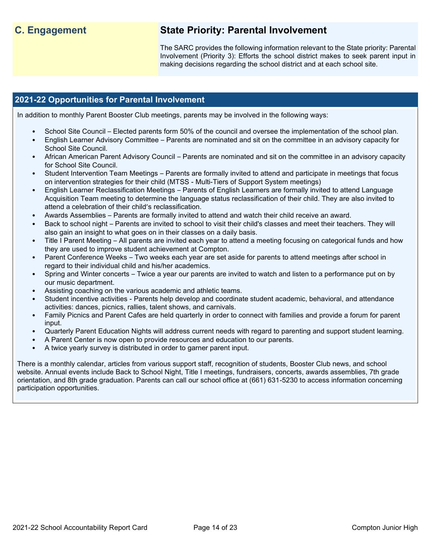# **C. Engagement State Priority: Parental Involvement**

The SARC provides the following information relevant to the State priority: Parental Involvement (Priority 3): Efforts the school district makes to seek parent input in making decisions regarding the school district and at each school site.

# **2021-22 Opportunities for Parental Involvement**

In addition to monthly Parent Booster Club meetings, parents may be involved in the following ways:

- School Site Council Elected parents form 50% of the council and oversee the implementation of the school plan.
- English Learner Advisory Committee Parents are nominated and sit on the committee in an advisory capacity for School Site Council.
- African American Parent Advisory Council Parents are nominated and sit on the committee in an advisory capacity for School Site Council.
- Student Intervention Team Meetings Parents are formally invited to attend and participate in meetings that focus on intervention strategies for their child (MTSS - Multi-Tiers of Support System meetings)
- English Learner Reclassification Meetings Parents of English Learners are formally invited to attend Language Acquisition Team meeting to determine the language status reclassification of their child. They are also invited to attend a celebration of their child's reclassification.
- Awards Assemblies Parents are formally invited to attend and watch their child receive an award.
- Back to school night Parents are invited to school to visit their child's classes and meet their teachers. They will also gain an insight to what goes on in their classes on a daily basis.
- Title I Parent Meeting All parents are invited each year to attend a meeting focusing on categorical funds and how they are used to improve student achievement at Compton.
- Parent Conference Weeks Two weeks each year are set aside for parents to attend meetings after school in regard to their individual child and his/her academics.
- Spring and Winter concerts Twice a year our parents are invited to watch and listen to a performance put on by our music department.
- Assisting coaching on the various academic and athletic teams.
- Student incentive activities Parents help develop and coordinate student academic, behavioral, and attendance activities: dances, picnics, rallies, talent shows, and carnivals.
- Family Picnics and Parent Cafes are held quarterly in order to connect with families and provide a forum for parent input.
- Quarterly Parent Education Nights will address current needs with regard to parenting and support student learning.
- A Parent Center is now open to provide resources and education to our parents.
- A twice yearly survey is distributed in order to garner parent input.

There is a monthly calendar, articles from various support staff, recognition of students, Booster Club news, and school website. Annual events include Back to School Night, Title I meetings, fundraisers, concerts, awards assemblies, 7th grade orientation, and 8th grade graduation. Parents can call our school office at (661) 631-5230 to access information concerning participation opportunities.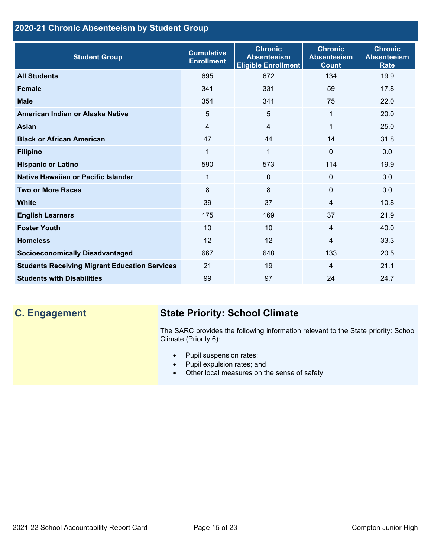# **2020-21 Chronic Absenteeism by Student Group**

| <b>Student Group</b>                                 | <b>Cumulative</b><br><b>Enrollment</b> | <b>Chronic</b><br><b>Absenteeism</b><br><b>Eligible Enrollment</b> | <b>Chronic</b><br><b>Absenteeism</b><br><b>Count</b> | <b>Chronic</b><br><b>Absenteeism</b><br><b>Rate</b> |
|------------------------------------------------------|----------------------------------------|--------------------------------------------------------------------|------------------------------------------------------|-----------------------------------------------------|
| <b>All Students</b>                                  | 695                                    | 672                                                                | 134                                                  | 19.9                                                |
| <b>Female</b>                                        | 341                                    | 331                                                                | 59                                                   | 17.8                                                |
| <b>Male</b>                                          | 354                                    | 341                                                                | 75                                                   | 22.0                                                |
| American Indian or Alaska Native                     | 5                                      | 5                                                                  | 1                                                    | 20.0                                                |
| <b>Asian</b>                                         | $\overline{4}$                         | 4                                                                  | 1                                                    | 25.0                                                |
| <b>Black or African American</b>                     | 47                                     | 44                                                                 | 14                                                   | 31.8                                                |
| <b>Filipino</b>                                      | 1                                      | $\mathbf 1$                                                        | $\mathbf{0}$                                         | 0.0                                                 |
| <b>Hispanic or Latino</b>                            | 590                                    | 573                                                                | 114                                                  | 19.9                                                |
| Native Hawaiian or Pacific Islander                  | 1                                      | 0                                                                  | $\mathbf{0}$                                         | 0.0                                                 |
| <b>Two or More Races</b>                             | 8                                      | 8                                                                  | $\mathbf 0$                                          | 0.0                                                 |
| <b>White</b>                                         | 39                                     | 37                                                                 | 4                                                    | 10.8                                                |
| <b>English Learners</b>                              | 175                                    | 169                                                                | 37                                                   | 21.9                                                |
| <b>Foster Youth</b>                                  | 10                                     | 10                                                                 | $\overline{4}$                                       | 40.0                                                |
| <b>Homeless</b>                                      | 12                                     | 12                                                                 | 4                                                    | 33.3                                                |
| <b>Socioeconomically Disadvantaged</b>               | 667                                    | 648                                                                | 133                                                  | 20.5                                                |
| <b>Students Receiving Migrant Education Services</b> | 21                                     | 19                                                                 | 4                                                    | 21.1                                                |
| <b>Students with Disabilities</b>                    | 99                                     | 97                                                                 | 24                                                   | 24.7                                                |

# **C. Engagement State Priority: School Climate**

The SARC provides the following information relevant to the State priority: School Climate (Priority 6):

- Pupil suspension rates;
- Pupil expulsion rates; and
- Other local measures on the sense of safety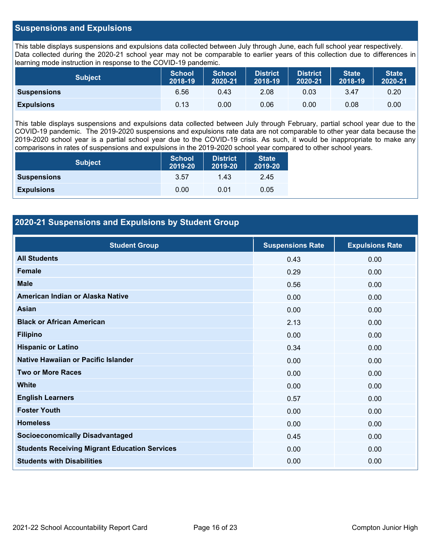# **Suspensions and Expulsions**

This table displays suspensions and expulsions data collected between July through June, each full school year respectively. Data collected during the 2020-21 school year may not be comparable to earlier years of this collection due to differences in learning mode instruction in response to the COVID-19 pandemic.

| <b>Subject</b>     | <b>School</b><br>2018-19 | <b>School</b><br>2020-21 | <b>District</b><br>2018-19 | <b>District</b><br>2020-21 | <b>State</b><br>2018-19 | <b>State</b><br>2020-21 |
|--------------------|--------------------------|--------------------------|----------------------------|----------------------------|-------------------------|-------------------------|
| <b>Suspensions</b> | 6.56                     | 0.43                     | 2.08                       | 0.03                       | 3.47                    | 0.20                    |
| <b>Expulsions</b>  | 0.13                     | 0.00                     | 0.06                       | 0.00                       | 0.08                    | 0.00                    |

This table displays suspensions and expulsions data collected between July through February, partial school year due to the COVID-19 pandemic. The 2019-2020 suspensions and expulsions rate data are not comparable to other year data because the 2019-2020 school year is a partial school year due to the COVID-19 crisis. As such, it would be inappropriate to make any comparisons in rates of suspensions and expulsions in the 2019-2020 school year compared to other school years.

| <b>Subject</b>     | <b>School</b><br>2019-20 | <b>District</b><br>2019-20 | <b>State</b><br>2019-20 |
|--------------------|--------------------------|----------------------------|-------------------------|
| <b>Suspensions</b> | 3.57                     | 1.43                       | 2.45                    |
| <b>Expulsions</b>  | 0.00                     | 0.01                       | 0.05                    |

# **2020-21 Suspensions and Expulsions by Student Group**

| <b>Student Group</b>                                 | <b>Suspensions Rate</b> | <b>Expulsions Rate</b> |
|------------------------------------------------------|-------------------------|------------------------|
| <b>All Students</b>                                  | 0.43                    | 0.00                   |
| <b>Female</b>                                        | 0.29                    | 0.00                   |
| <b>Male</b>                                          | 0.56                    | 0.00                   |
| American Indian or Alaska Native                     | 0.00                    | 0.00                   |
| <b>Asian</b>                                         | 0.00                    | 0.00                   |
| <b>Black or African American</b>                     | 2.13                    | 0.00                   |
| <b>Filipino</b>                                      | 0.00                    | 0.00                   |
| <b>Hispanic or Latino</b>                            | 0.34                    | 0.00                   |
| Native Hawaiian or Pacific Islander                  | 0.00                    | 0.00                   |
| <b>Two or More Races</b>                             | 0.00                    | 0.00                   |
| <b>White</b>                                         | 0.00                    | 0.00                   |
| <b>English Learners</b>                              | 0.57                    | 0.00                   |
| <b>Foster Youth</b>                                  | 0.00                    | 0.00                   |
| <b>Homeless</b>                                      | 0.00                    | 0.00                   |
| <b>Socioeconomically Disadvantaged</b>               | 0.45                    | 0.00                   |
| <b>Students Receiving Migrant Education Services</b> | 0.00                    | 0.00                   |
| <b>Students with Disabilities</b>                    | 0.00                    | 0.00                   |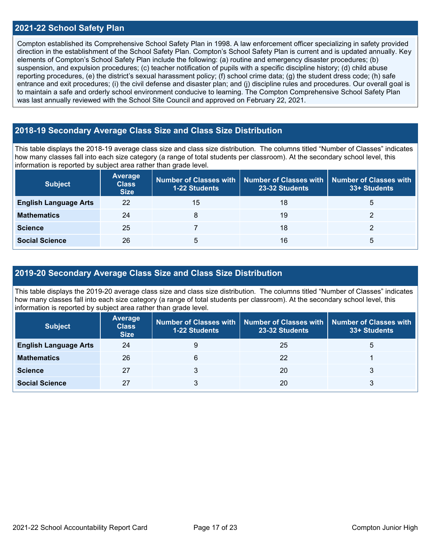### **2021-22 School Safety Plan**

Compton established its Comprehensive School Safety Plan in 1998. A law enforcement officer specializing in safety provided direction in the establishment of the School Safety Plan. Compton's School Safety Plan is current and is updated annually. Key elements of Compton's School Safety Plan include the following: (a) routine and emergency disaster procedures; (b) suspension, and expulsion procedures; (c) teacher notification of pupils with a specific discipline history; (d) child abuse reporting procedures, (e) the district's sexual harassment policy; (f) school crime data; (g) the student dress code; (h) safe entrance and exit procedures; (i) the civil defense and disaster plan; and (j) discipline rules and procedures. Our overall goal is to maintain a safe and orderly school environment conducive to learning. The Compton Comprehensive School Safety Plan was last annually reviewed with the School Site Council and approved on February 22, 2021.

# **2018-19 Secondary Average Class Size and Class Size Distribution**

This table displays the 2018-19 average class size and class size distribution. The columns titled "Number of Classes" indicates how many classes fall into each size category (a range of total students per classroom). At the secondary school level, this information is reported by subject area rather than grade level.

| <b>Subject</b>               | Average<br><b>Class</b><br><b>Size</b> | <b>1-22 Students</b> | Number of Classes with   Number of Classes with   Number of Classes with<br>23-32 Students | 33+ Students |
|------------------------------|----------------------------------------|----------------------|--------------------------------------------------------------------------------------------|--------------|
| <b>English Language Arts</b> | 22                                     | 15                   | 18                                                                                         | 5            |
| <b>Mathematics</b>           | 24                                     | 8                    | 19                                                                                         |              |
| <b>Science</b>               | 25                                     |                      | 18                                                                                         |              |
| <b>Social Science</b>        | 26                                     | 5                    | 16                                                                                         | 5            |

## **2019-20 Secondary Average Class Size and Class Size Distribution**

This table displays the 2019-20 average class size and class size distribution. The columns titled "Number of Classes" indicates how many classes fall into each size category (a range of total students per classroom). At the secondary school level, this information is reported by subject area rather than grade level.

| <b>Subject</b>               | <b>Average</b><br><b>Class</b><br><b>Size</b> | <b>1-22 Students</b> | Number of Classes with   Number of Classes with  <br>23-32 Students | Number of Classes with<br>33+ Students |
|------------------------------|-----------------------------------------------|----------------------|---------------------------------------------------------------------|----------------------------------------|
| <b>English Language Arts</b> | 24                                            |                      | 25                                                                  | G                                      |
| <b>Mathematics</b>           | 26                                            | 6                    | 22                                                                  |                                        |
| <b>Science</b>               | 27                                            |                      | 20                                                                  |                                        |
| <b>Social Science</b>        | 27                                            |                      | 20                                                                  |                                        |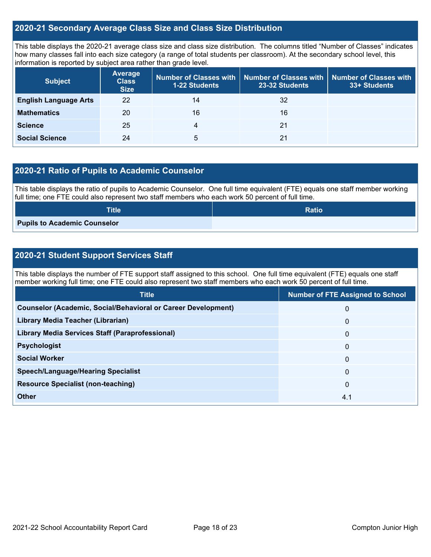# **2020-21 Secondary Average Class Size and Class Size Distribution**

This table displays the 2020-21 average class size and class size distribution. The columns titled "Number of Classes" indicates how many classes fall into each size category (a range of total students per classroom). At the secondary school level, this information is reported by subject area rather than grade level.

| <b>Subject</b>               | <b>Average</b><br><b>Class</b><br><b>Size</b> | 1-22 Students | Number of Classes with   Number of Classes with<br>23-32 Students | <b>Number of Classes with</b><br>33+ Students |
|------------------------------|-----------------------------------------------|---------------|-------------------------------------------------------------------|-----------------------------------------------|
| <b>English Language Arts</b> | 22                                            | 14            | 32                                                                |                                               |
| <b>Mathematics</b>           | 20                                            | 16            | 16                                                                |                                               |
| <b>Science</b>               | 25                                            | 4             | 21                                                                |                                               |
| <b>Social Science</b>        | 24                                            | 5             | 21                                                                |                                               |

# **2020-21 Ratio of Pupils to Academic Counselor**

This table displays the ratio of pupils to Academic Counselor. One full time equivalent (FTE) equals one staff member working full time; one FTE could also represent two staff members who each work 50 percent of full time.

| <b>Title</b>                 | <b>Ratio</b> |
|------------------------------|--------------|
| Pupils to Academic Counselor |              |

# **2020-21 Student Support Services Staff**

This table displays the number of FTE support staff assigned to this school. One full time equivalent (FTE) equals one staff member working full time; one FTE could also represent two staff members who each work 50 percent of full time.

| <b>Title</b>                                                         | <b>Number of FTE Assigned to School</b> |
|----------------------------------------------------------------------|-----------------------------------------|
| <b>Counselor (Academic, Social/Behavioral or Career Development)</b> | 0                                       |
| Library Media Teacher (Librarian)                                    | $\mathbf{0}$                            |
| <b>Library Media Services Staff (Paraprofessional)</b>               | $\mathbf{0}$                            |
| <b>Psychologist</b>                                                  | $\mathbf{0}$                            |
| <b>Social Worker</b>                                                 | $\mathbf{0}$                            |
| <b>Speech/Language/Hearing Specialist</b>                            | $\Omega$                                |
| <b>Resource Specialist (non-teaching)</b>                            | $\mathbf{0}$                            |
| Other                                                                | 4.1                                     |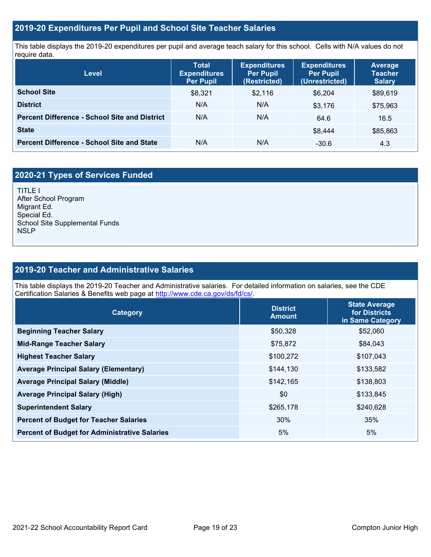# **2019-20 Expenditures Per Pupil and School Site Teacher Salaries**

This table displays the 2019-20 expenditures per pupil and average teach salary for this school. Cells with N/A values do not require data.

| <b>Level</b>                                         | <b>Expenditures</b><br><b>Total</b><br><b>Per Pupil</b><br><b>Expenditures</b><br>(Restricted)<br><b>Per Pupil</b> |         | <b>Expenditures</b><br><b>Per Pupil</b><br>(Unrestricted) | <b>Average</b><br><b>Teacher</b><br><b>Salary</b> |  |
|------------------------------------------------------|--------------------------------------------------------------------------------------------------------------------|---------|-----------------------------------------------------------|---------------------------------------------------|--|
| <b>School Site</b>                                   | \$8,321                                                                                                            | \$2,116 | \$6.204                                                   | \$89,619                                          |  |
| <b>District</b>                                      | N/A                                                                                                                | N/A     | \$3,176                                                   | \$75,963                                          |  |
| <b>Percent Difference - School Site and District</b> | N/A                                                                                                                | N/A     | 64.6                                                      | 16.5                                              |  |
| <b>State</b>                                         |                                                                                                                    |         | \$8.444                                                   | \$85,863                                          |  |
| <b>Percent Difference - School Site and State</b>    | N/A                                                                                                                | N/A     | $-30.6$                                                   | 4.3                                               |  |

# **2020-21 Types of Services Funded**

TITLE I After School Program Migrant Ed. Special Ed. School Site Supplemental Funds **NSLP** 

# **2019-20 Teacher and Administrative Salaries**

This table displays the 2019-20 Teacher and Administrative salaries. For detailed information on salaries, see the CDE Certification Salaries & Benefits web page at [http://www.cde.ca.gov/ds/fd/cs/.](http://www.cde.ca.gov/ds/fd/cs/)

| <b>Category</b>                                      | <b>District</b><br><b>Amount</b> | <b>State Average</b><br>for Districts<br>in Same Category |
|------------------------------------------------------|----------------------------------|-----------------------------------------------------------|
| <b>Beginning Teacher Salary</b>                      | \$50,328                         | \$52,060                                                  |
| <b>Mid-Range Teacher Salary</b>                      | \$75,872                         | \$84,043                                                  |
| <b>Highest Teacher Salary</b>                        | \$100,272                        | \$107,043                                                 |
| <b>Average Principal Salary (Elementary)</b>         | \$144,130                        | \$133,582                                                 |
| <b>Average Principal Salary (Middle)</b>             | \$142,165                        | \$138,803                                                 |
| <b>Average Principal Salary (High)</b>               | \$0                              | \$133,845                                                 |
| <b>Superintendent Salary</b>                         | \$265,178                        | \$240,628                                                 |
| <b>Percent of Budget for Teacher Salaries</b>        | 30%                              | 35%                                                       |
| <b>Percent of Budget for Administrative Salaries</b> | 5%                               | 5%                                                        |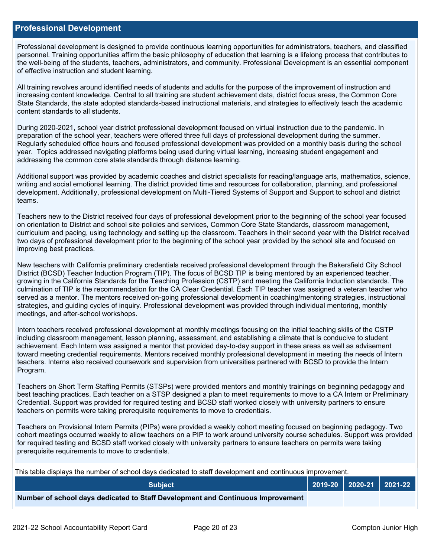### **Professional Development**

Professional development is designed to provide continuous learning opportunities for administrators, teachers, and classified personnel. Training opportunities affirm the basic philosophy of education that learning is a lifelong process that contributes to the well-being of the students, teachers, administrators, and community. Professional Development is an essential component of effective instruction and student learning.

All training revolves around identified needs of students and adults for the purpose of the improvement of instruction and increasing content knowledge. Central to all training are student achievement data, district focus areas, the Common Core State Standards, the state adopted standards-based instructional materials, and strategies to effectively teach the academic content standards to all students.

During 2020-2021, school year district professional development focused on virtual instruction due to the pandemic. In preparation of the school year, teachers were offered three full days of professional development during the summer. Regularly scheduled office hours and focused professional development was provided on a monthly basis during the school year. Topics addressed navigating platforms being used during virtual learning, increasing student engagement and addressing the common core state standards through distance learning.

Additional support was provided by academic coaches and district specialists for reading/language arts, mathematics, science, writing and social emotional learning. The district provided time and resources for collaboration, planning, and professional development. Additionally, professional development on Multi-Tiered Systems of Support and Support to school and district teams.

Teachers new to the District received four days of professional development prior to the beginning of the school year focused on orientation to District and school site policies and services, Common Core State Standards, classroom management, curriculum and pacing, using technology and setting up the classroom. Teachers in their second year with the District received two days of professional development prior to the beginning of the school year provided by the school site and focused on improving best practices.

New teachers with California preliminary credentials received professional development through the Bakersfield City School District (BCSD) Teacher Induction Program (TIP). The focus of BCSD TIP is being mentored by an experienced teacher, growing in the California Standards for the Teaching Profession (CSTP) and meeting the California Induction standards. The culmination of TIP is the recommendation for the CA Clear Credential. Each TIP teacher was assigned a veteran teacher who served as a mentor. The mentors received on-going professional development in coaching/mentoring strategies, instructional strategies, and guiding cycles of inquiry. Professional development was provided through individual mentoring, monthly meetings, and after-school workshops.

Intern teachers received professional development at monthly meetings focusing on the initial teaching skills of the CSTP including classroom management, lesson planning, assessment, and establishing a climate that is conducive to student achievement. Each Intern was assigned a mentor that provided day-to-day support in these areas as well as advisement toward meeting credential requirements. Mentors received monthly professional development in meeting the needs of Intern teachers. Interns also received coursework and supervision from universities partnered with BCSD to provide the Intern Program.

Teachers on Short Term Staffing Permits (STSPs) were provided mentors and monthly trainings on beginning pedagogy and best teaching practices. Each teacher on a STSP designed a plan to meet requirements to move to a CA Intern or Preliminary Credential. Support was provided for required testing and BCSD staff worked closely with university partners to ensure teachers on permits were taking prerequisite requirements to move to credentials.

Teachers on Provisional Intern Permits (PIPs) were provided a weekly cohort meeting focused on beginning pedagogy. Two cohort meetings occurred weekly to allow teachers on a PIP to work around university course schedules. Support was provided for required testing and BCSD staff worked closely with university partners to ensure teachers on permits were taking prerequisite requirements to move to credentials.

This table displays the number of school days dedicated to staff development and continuous improvement.

| <b>Subject</b>                                                                  |  | $2019-20$ 2020-21 2021-22 |
|---------------------------------------------------------------------------------|--|---------------------------|
| Number of school days dedicated to Staff Development and Continuous Improvement |  |                           |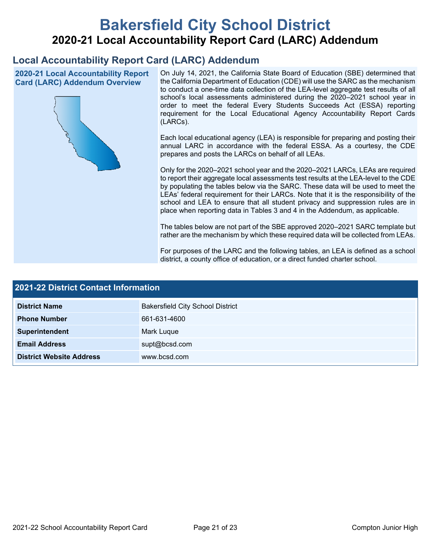# **Bakersfield City School District 2020-21 Local Accountability Report Card (LARC) Addendum**

# **Local Accountability Report Card (LARC) Addendum**

**2020-21 Local Accountability Report Card (LARC) Addendum Overview**



On July 14, 2021, the California State Board of Education (SBE) determined that the California Department of Education (CDE) will use the SARC as the mechanism to conduct a one-time data collection of the LEA-level aggregate test results of all school's local assessments administered during the 2020–2021 school year in order to meet the federal Every Students Succeeds Act (ESSA) reporting requirement for the Local Educational Agency Accountability Report Cards (LARCs).

Each local educational agency (LEA) is responsible for preparing and posting their annual LARC in accordance with the federal ESSA. As a courtesy, the CDE prepares and posts the LARCs on behalf of all LEAs.

Only for the 2020–2021 school year and the 2020–2021 LARCs, LEAs are required to report their aggregate local assessments test results at the LEA-level to the CDE by populating the tables below via the SARC. These data will be used to meet the LEAs' federal requirement for their LARCs. Note that it is the responsibility of the school and LEA to ensure that all student privacy and suppression rules are in place when reporting data in Tables 3 and 4 in the Addendum, as applicable.

The tables below are not part of the SBE approved 2020–2021 SARC template but rather are the mechanism by which these required data will be collected from LEAs.

For purposes of the LARC and the following tables, an LEA is defined as a school district, a county office of education, or a direct funded charter school.

| 2021-22 District Contact Information |                                         |  |  |  |
|--------------------------------------|-----------------------------------------|--|--|--|
| <b>District Name</b>                 | <b>Bakersfield City School District</b> |  |  |  |
| <b>Phone Number</b>                  | 661-631-4600                            |  |  |  |
| Superintendent                       | Mark Luque                              |  |  |  |
| <b>Email Address</b>                 | supt@bcsd.com                           |  |  |  |
| <b>District Website Address</b>      | www.bcsd.com                            |  |  |  |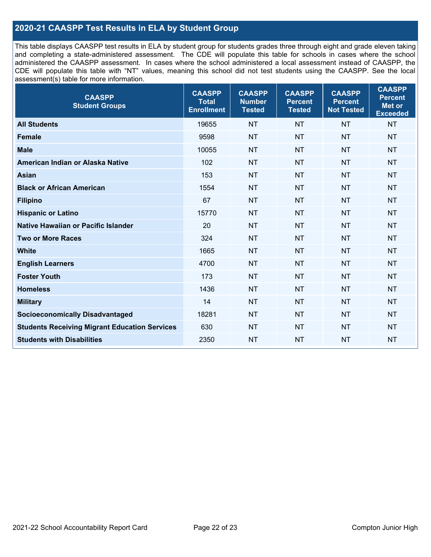# **2020-21 CAASPP Test Results in ELA by Student Group**

This table displays CAASPP test results in ELA by student group for students grades three through eight and grade eleven taking and completing a state-administered assessment. The CDE will populate this table for schools in cases where the school administered the CAASPP assessment. In cases where the school administered a local assessment instead of CAASPP, the CDE will populate this table with "NT" values, meaning this school did not test students using the CAASPP. See the local assessment(s) table for more information.

| <b>CAASPP</b><br><b>Student Groups</b>               | <b>CAASPP</b><br><b>Total</b><br><b>Enrollment</b> | <b>CAASPP</b><br><b>Number</b><br><b>Tested</b> | <b>CAASPP</b><br><b>Percent</b><br><b>Tested</b> | <b>CAASPP</b><br><b>Percent</b><br><b>Not Tested</b> | <b>CAASPP</b><br><b>Percent</b><br>Met or<br><b>Exceeded</b> |
|------------------------------------------------------|----------------------------------------------------|-------------------------------------------------|--------------------------------------------------|------------------------------------------------------|--------------------------------------------------------------|
| <b>All Students</b>                                  | 19655                                              | <b>NT</b>                                       | <b>NT</b>                                        | <b>NT</b>                                            | <b>NT</b>                                                    |
| <b>Female</b>                                        | 9598                                               | <b>NT</b>                                       | <b>NT</b>                                        | <b>NT</b>                                            | <b>NT</b>                                                    |
| <b>Male</b>                                          | 10055                                              | <b>NT</b>                                       | <b>NT</b>                                        | <b>NT</b>                                            | <b>NT</b>                                                    |
| American Indian or Alaska Native                     | 102                                                | <b>NT</b>                                       | <b>NT</b>                                        | <b>NT</b>                                            | <b>NT</b>                                                    |
| <b>Asian</b>                                         | 153                                                | <b>NT</b>                                       | <b>NT</b>                                        | <b>NT</b>                                            | <b>NT</b>                                                    |
| <b>Black or African American</b>                     | 1554                                               | <b>NT</b>                                       | <b>NT</b>                                        | <b>NT</b>                                            | NT                                                           |
| <b>Filipino</b>                                      | 67                                                 | <b>NT</b>                                       | <b>NT</b>                                        | <b>NT</b>                                            | <b>NT</b>                                                    |
| <b>Hispanic or Latino</b>                            | 15770                                              | <b>NT</b>                                       | <b>NT</b>                                        | <b>NT</b>                                            | <b>NT</b>                                                    |
| Native Hawaiian or Pacific Islander                  | 20                                                 | <b>NT</b>                                       | <b>NT</b>                                        | <b>NT</b>                                            | <b>NT</b>                                                    |
| <b>Two or More Races</b>                             | 324                                                | <b>NT</b>                                       | <b>NT</b>                                        | <b>NT</b>                                            | <b>NT</b>                                                    |
| <b>White</b>                                         | 1665                                               | <b>NT</b>                                       | <b>NT</b>                                        | <b>NT</b>                                            | <b>NT</b>                                                    |
| <b>English Learners</b>                              | 4700                                               | <b>NT</b>                                       | <b>NT</b>                                        | <b>NT</b>                                            | <b>NT</b>                                                    |
| <b>Foster Youth</b>                                  | 173                                                | <b>NT</b>                                       | <b>NT</b>                                        | <b>NT</b>                                            | <b>NT</b>                                                    |
| <b>Homeless</b>                                      | 1436                                               | <b>NT</b>                                       | <b>NT</b>                                        | <b>NT</b>                                            | <b>NT</b>                                                    |
| <b>Military</b>                                      | 14                                                 | <b>NT</b>                                       | <b>NT</b>                                        | <b>NT</b>                                            | <b>NT</b>                                                    |
| <b>Socioeconomically Disadvantaged</b>               | 18281                                              | <b>NT</b>                                       | <b>NT</b>                                        | <b>NT</b>                                            | <b>NT</b>                                                    |
| <b>Students Receiving Migrant Education Services</b> | 630                                                | <b>NT</b>                                       | <b>NT</b>                                        | <b>NT</b>                                            | NT                                                           |
| <b>Students with Disabilities</b>                    | 2350                                               | <b>NT</b>                                       | <b>NT</b>                                        | <b>NT</b>                                            | NT                                                           |